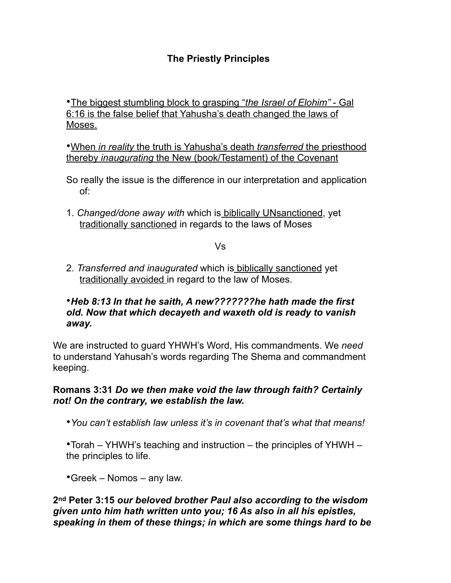# **The Priestly Principles**

•The biggest stumbling block to grasping "*the Israel of Elohim"* - Gal 6:16 is the false belief that Yahusha's death changed the laws of Moses.

•When *in reality* the truth is Yahusha's death *transferred* the priesthood thereby *inaugurating* the New (book/Testament) of the Covenant

- So really the issue is the difference in our interpretation and application of:
- 1. *Changed/done away with* which is biblically UNsanctioned, yet traditionally sanctioned in regards to the laws of Moses

#### Vs

2. *Transferred and inaugurated* which is biblically sanctioned yet traditionally avoided in regard to the law of Moses.

## •*Heb 8:13 In that he saith, A new???????he hath made the first old. Now that which decayeth and waxeth old is ready to vanish away.*

We are instructed to guard YHWH's Word, His commandments. We *need*  to understand Yahusah's words regarding The Shema and commandment keeping.

# **Romans 3:31** *Do we then make void the law through faith? Certainly not! On the contrary, we establish the law.*

•*You can't establish law unless it's in covenant that's what that means!* 

•Torah – YHWH's teaching and instruction – the principles of YHWH – the principles to life.

•Greek – Nomos – any law.

# **2nd Peter 3:15** *our beloved brother Paul also according to the wisdom given unto him hath written unto you; 16 As also in all his epistles, speaking in them of these things; in which are some things hard to be*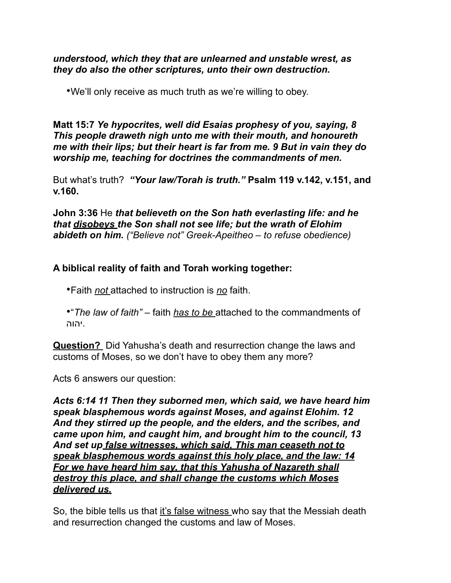### *understood, which they that are unlearned and unstable wrest, as they do also the other scriptures, unto their own destruction.*

•We'll only receive as much truth as we're willing to obey.

# **Matt 15:7** *Ye hypocrites, well did Esaias prophesy of you, saying, 8 This people draweth nigh unto me with their mouth, and honoureth me with their lips; but their heart is far from me. 9 But in vain they do worship me, teaching for doctrines the commandments of men.*

But what's truth? *"Your law/Torah is truth."* **Psalm 119 v.142, v.151, and v.160.**

**John 3:36** He *that believeth on the Son hath everlasting life: and he that disobeys the Son shall not see life; but the wrath of Elohim abideth on him. ("Believe not" Greek-Apeitheo – to refuse obedience)* 

# **A biblical reality of faith and Torah working together:**

•Faith *not* attached to instruction is *no* faith.

•"*The law of faith"* – faith *has to be* attached to the commandments of .יהוה

**Question?** Did Yahusha's death and resurrection change the laws and customs of Moses, so we don't have to obey them any more?

Acts 6 answers our question:

*Acts 6:14 11 Then they suborned men, which said, we have heard him speak blasphemous words against Moses, and against Elohim. 12 And they stirred up the people, and the elders, and the scribes, and came upon him, and caught him, and brought him to the council, 13 And set up false witnesses, which said, This man ceaseth not to speak blasphemous words against this holy place, and the law: 14 For we have heard him say, that this Yahusha of Nazareth shall destroy this place, and shall change the customs which Moses delivered us.* 

So, the bible tells us that it's false witness who say that the Messiah death and resurrection changed the customs and law of Moses.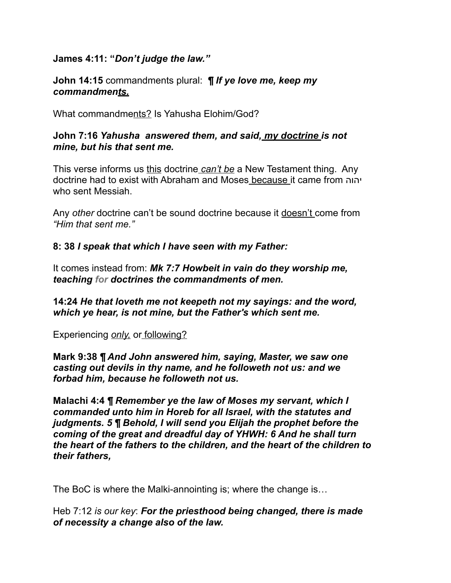# **James 4:11: "***Don't judge the law."*

**John 14:15** commandments plural: *¶ If ye love me, keep my commandments.*

What commandments? Is Yahusha Elohim/God?

# **John 7:16** *Yahusha answered them, and said, my doctrine is not mine, but his that sent me.*

This verse informs us this doctrine *can't be* a New Testament thing. Any doctrine had to exist with Abraham and Moses because it came from יהוה who sent Messiah.

Any *other* doctrine can't be sound doctrine because it doesn't come from *"Him that sent me."* 

**8: 38** *I speak that which I have seen with my Father:* 

It comes instead from: *Mk 7:7 Howbeit in vain do they worship me, teaching for doctrines the commandments of men.* 

**14:24** *He that loveth me not keepeth not my sayings: and the word, which ye hear, is not mine, but the Father's which sent me.* 

Experiencing *only,* or following?

**Mark 9:38** *¶ And John answered him, saying, Master, we saw one casting out devils in thy name, and he followeth not us: and we forbad him, because he followeth not us.* 

**Malachi 4:4** *¶ Remember ye the law of Moses my servant, which I commanded unto him in Horeb for all Israel, with the statutes and judgments. 5 ¶ Behold, I will send you Elijah the prophet before the coming of the great and dreadful day of YHWH: 6 And he shall turn the heart of the fathers to the children, and the heart of the children to their fathers,* 

The BoC is where the Malki-annointing is; where the change is…

Heb 7:12 *is our key*: *For the priesthood being changed, there is made of necessity a change also of the law.*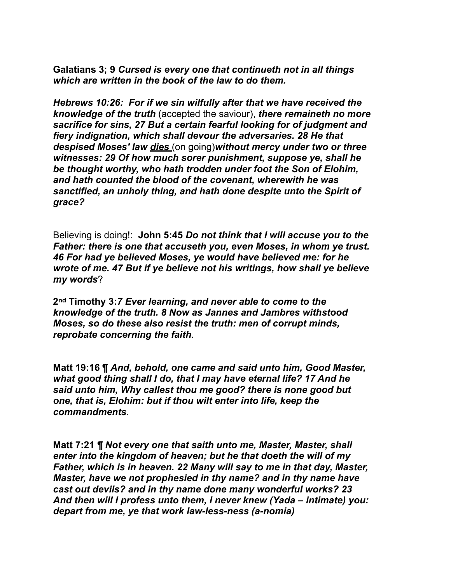**Galatians 3; 9** *Cursed is every one that continueth not in all things which are written in the book of the law to do them.* 

*Hebrews 10:26: For if we sin wilfully after that we have received the knowledge of the truth* (accepted the saviour), *there remaineth no more sacrifice for sins, 27 But a certain fearful looking for of judgment and fiery indignation, which shall devour the adversaries. 28 He that despised Moses' law dies* (on going)*without mercy under two or three witnesses: 29 Of how much sorer punishment, suppose ye, shall he be thought worthy, who hath trodden under foot the Son of Elohim, and hath counted the blood of the covenant, wherewith he was sanctified, an unholy thing, and hath done despite unto the Spirit of grace?* 

Believing is doing!:**John 5:45** *Do not think that I will accuse you to the Father: there is one that accuseth you, even Moses, in whom ye trust. 46 For had ye believed Moses, ye would have believed me: for he wrote of me. 47 But if ye believe not his writings, how shall ye believe my words*?

**2nd Timothy 3:***7 Ever learning, and never able to come to the knowledge of the truth. 8 Now as Jannes and Jambres withstood Moses, so do these also resist the truth: men of corrupt minds, reprobate concerning the faith*.

**Matt 19:16 ¶** *And, behold, one came and said unto him, Good Master, what good thing shall I do, that I may have eternal life? 17 And he said unto him, Why callest thou me good? there is none good but one, that is, Elohim: but if thou wilt enter into life, keep the commandments*.

**Matt 7:21** *¶ Not every one that saith unto me, Master, Master, shall enter into the kingdom of heaven; but he that doeth the will of my Father, which is in heaven. 22 Many will say to me in that day, Master, Master, have we not prophesied in thy name? and in thy name have cast out devils? and in thy name done many wonderful works? 23 And then will I profess unto them, I never knew (Yada – intimate) you: depart from me, ye that work law-less-ness (a-nomia)*